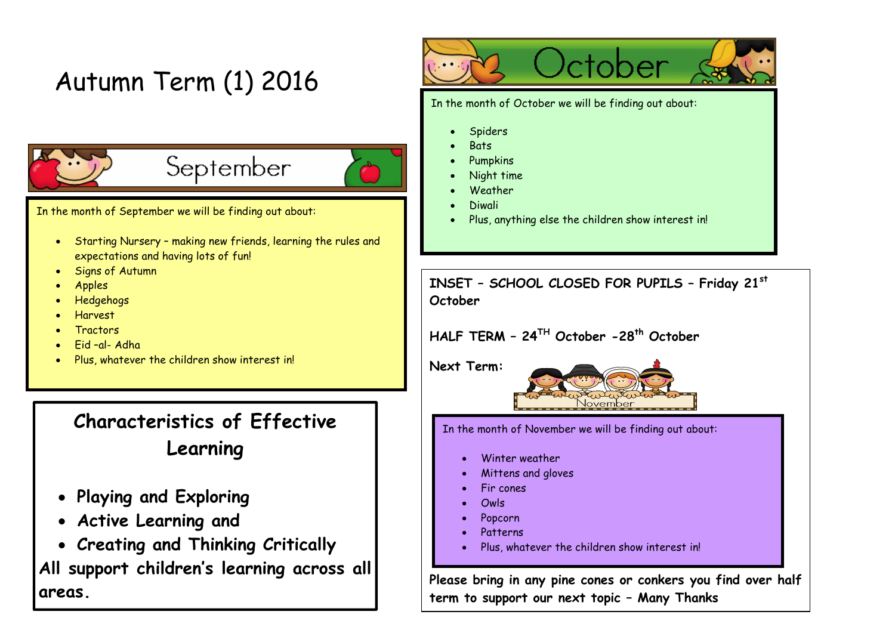# Autumn Term (1) 2016



# September

In the month of September we will be finding out about:

- Starting Nursery making new friends, learning the rules and expectations and having lots of fun!
- Signs of Autumn
- Apples
- Hedgehogs
- Harvest
- **Tractors**
- Eid –al- Adha
- Plus, whatever the children show interest in!

# **Characteristics of Effective Learning**

- **Playing and Exploring**
- **Active Learning and**
- **Creating and Thinking Critically**

**All support children's learning across all areas.**



In the month of October we will be finding out about:

- Spiders
- **Bats**
- Pumpkins
- Night time
- **Weather**
- Diwali
- Plus, anything else the children show interest in!

**INSET – SCHOOL CLOSED FOR PUPILS – Friday 21st October** 

# **HALF TERM – 24TH October -28th October**

**Next Term:** 



In the month of November we will be finding out about:

- Winter weather
- Mittens and gloves
- Fir cones
- Owls
- Popcorn
- Patterns
- Plus, whatever the children show interest in!

**Please bring in any pine cones or conkers you find over half term to support our next topic – Many Thanks**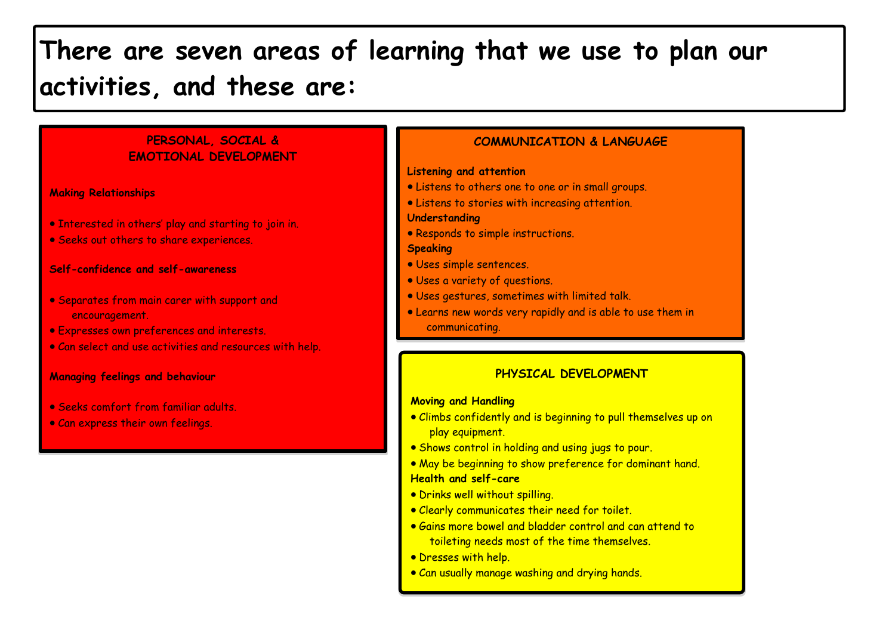# **There are seven areas of learning that we use to plan our activities, and these are:**

## **PERSONAL, SOCIAL & EMOTIONAL DEVELOPMENT**

**Making Relationships**

- **Interested in others' play and starting to join in.**
- Seeks out others to share experiences.

#### **Self-confidence and self-awareness**

- Separates from main carer with support and encouragement.
- Expresses own preferences and interests.
- Can select and use activities and resources with help.

#### **Managing feelings and behaviour**

- Seeks comfort from familiar adults.
- Can express their own feelings.

#### **COMMUNICATION & LANGUAGE**

#### **Listening and attention**

- Listens to others one to one or in small groups.
- Listens to stories with increasing attention.

#### **Understanding**

• Responds to simple instructions.

#### **Speaking**

- Uses simple sentences.
- Uses a variety of questions.
- Uses gestures, sometimes with limited talk.
- Learns new words very rapidly and is able to use them in
	- communicating.

# **PHYSICAL DEVELOPMENT**

#### **Moving and Handling**

- Climbs confidently and is beginning to pull themselves up on play equipment.
- . Shows control in holding and using jugs to pour.
- May be beginning to show preference for dominant hand. **Health and self-care**
- Drinks well without spilling.
- Clearly communicates their need for toilet.
- Gains more bowel and bladder control and can attend to toileting needs most of the time themselves.
- Dresses with help.
- Can usually manage washing and drying hands.